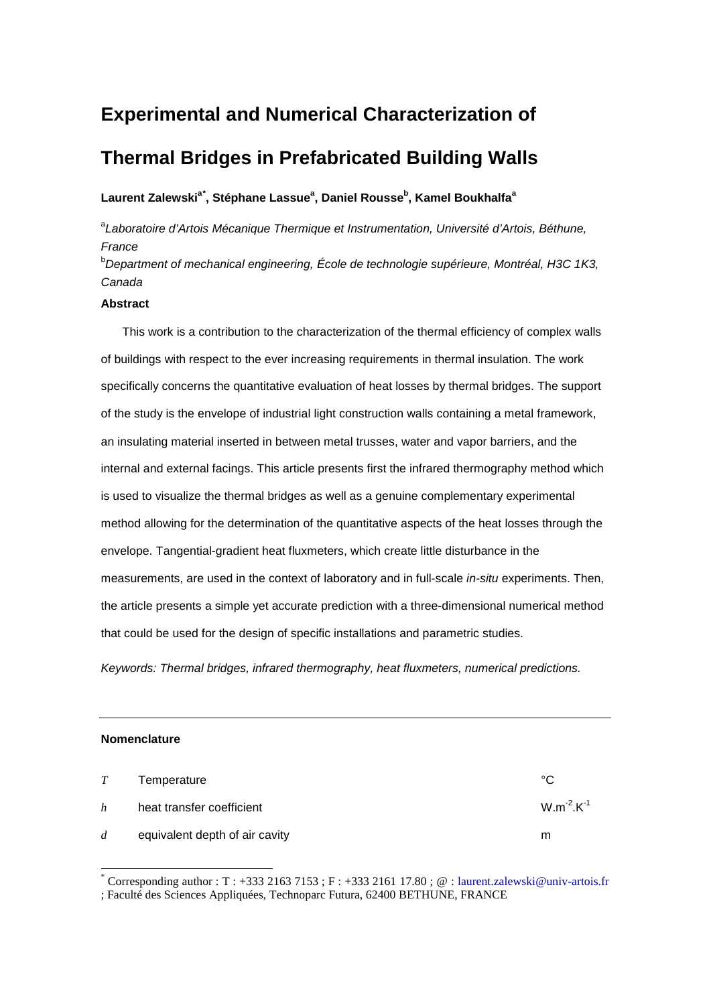# **Experimental and Numerical Characterization of**

# **Thermal Bridges in Prefabricated Building Walls**

**Laurent Zalewskia[\\*](#page-0-0) , Stéphane Lassue<sup>a</sup> , Daniel Rousse<sup>b</sup> , Kamel Boukhalfa<sup>a</sup>**

a *Laboratoire d'Artois Mécanique Thermique et Instrumentation, Université d'Artois, Béthune, France* b *Department of mechanical engineering, École de technologie supérieure, Montréal, H3C 1K3,* 

## *Canada* **Abstract**

This work is a contribution to the characterization of the thermal efficiency of complex walls of buildings with respect to the ever increasing requirements in thermal insulation. The work specifically concerns the quantitative evaluation of heat losses by thermal bridges. The support of the study is the envelope of industrial light construction walls containing a metal framework, an insulating material inserted in between metal trusses, water and vapor barriers, and the internal and external facings. This article presents first the infrared thermography method which is used to visualize the thermal bridges as well as a genuine complementary experimental method allowing for the determination of the quantitative aspects of the heat losses through the envelope. Tangential-gradient heat fluxmeters, which create little disturbance in the measurements, are used in the context of laboratory and in full-scale *in-situ* experiments. Then, the article presents a simple yet accurate prediction with a three-dimensional numerical method that could be used for the design of specific installations and parametric studies.

*Keywords: Thermal bridges, infrared thermography, heat fluxmeters, numerical predictions.*

### **Nomenclature**

| T           | Temperature                    | °C                |
|-------------|--------------------------------|-------------------|
| h           | heat transfer coefficient      | $W.m^{-2}.K^{-1}$ |
| $d_{\perp}$ | equivalent depth of air cavity | m                 |

<span id="page-0-0"></span> <sup>\*</sup> Corresponding author : T : +333 2163 7153 ; F : +333 2161 17.80 ; @ : [laurent.zalewski@univ-artois.fr](mailto:laurent.zalewski@univ-artois.fr) ; Faculté des Sciences Appliquées, Technoparc Futura, 62400 BETHUNE, FRANCE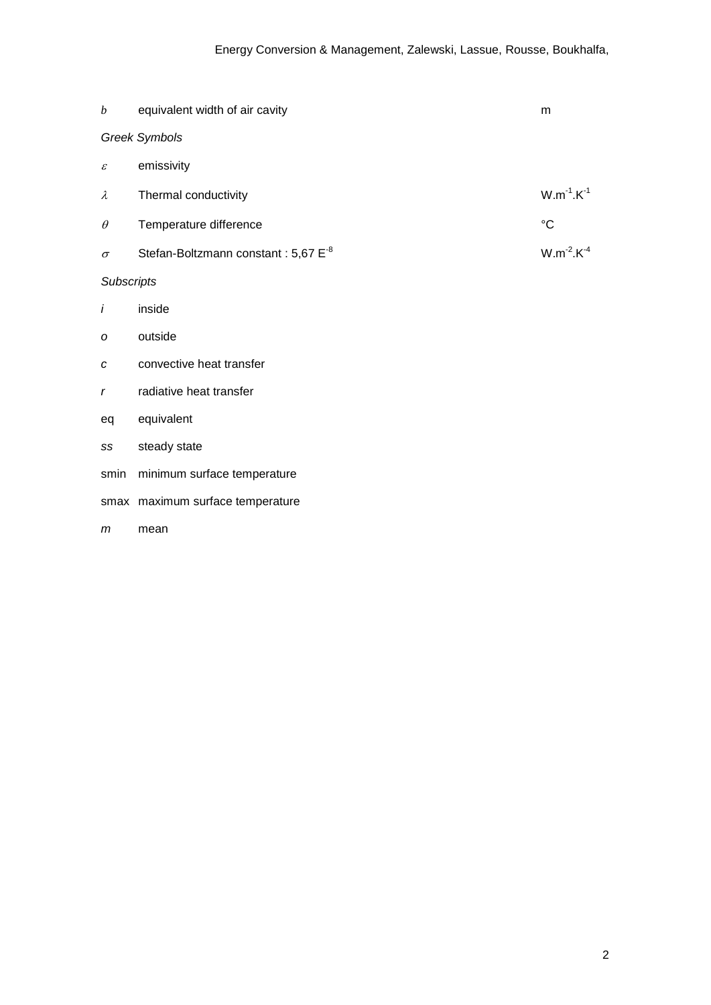| $\boldsymbol{b}$     | equivalent width of air cavity            | m                 |  |  |  |
|----------------------|-------------------------------------------|-------------------|--|--|--|
| <b>Greek Symbols</b> |                                           |                   |  |  |  |
| $\mathcal E$         | emissivity                                |                   |  |  |  |
| λ                    | Thermal conductivity                      | $W.m^{-1}.K^{-1}$ |  |  |  |
| $\theta$             | Temperature difference                    | $\rm ^{\circ}C$   |  |  |  |
| $\sigma$             | Stefan-Boltzmann constant : $5,67 E^{-8}$ | $W.m^{-2}.K^{-4}$ |  |  |  |
|                      | <b>Subscripts</b>                         |                   |  |  |  |
| İ                    | inside                                    |                   |  |  |  |
| o                    | outside                                   |                   |  |  |  |
| C                    | convective heat transfer                  |                   |  |  |  |
| $\mathsf{r}$         | radiative heat transfer                   |                   |  |  |  |
| eq                   | equivalent                                |                   |  |  |  |
| SS                   | steady state                              |                   |  |  |  |
| smin                 | minimum surface temperature               |                   |  |  |  |
|                      | smax maximum surface temperature          |                   |  |  |  |
| m                    | mean                                      |                   |  |  |  |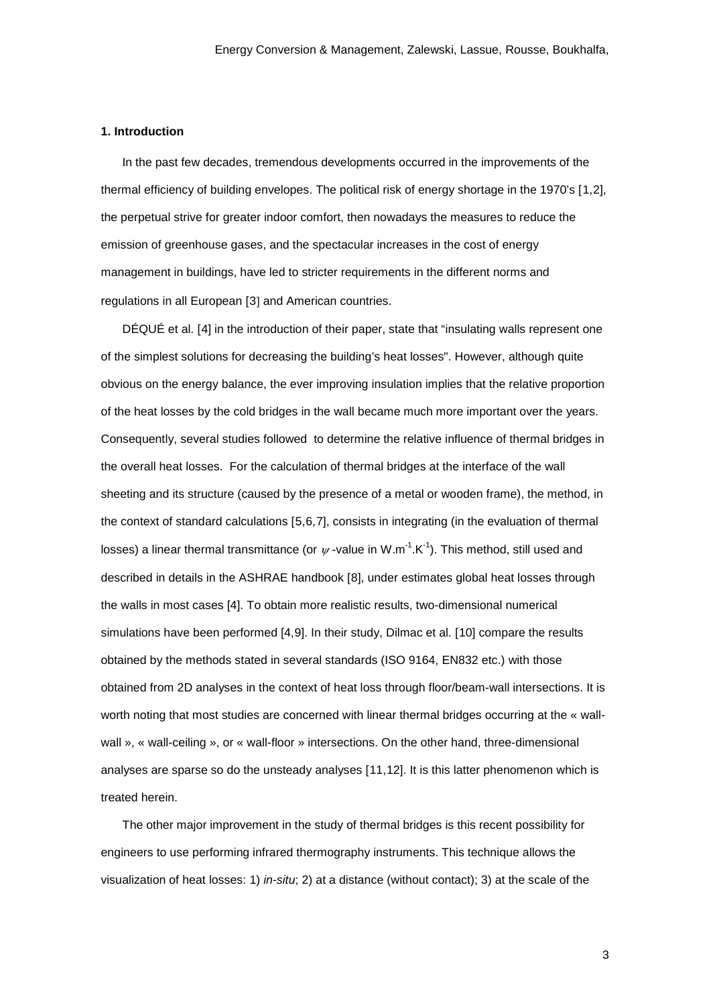#### **1. Introduction**

In the past few decades, tremendous developments occurred in the improvements of the thermal efficiency of building envelopes. The political risk of energy shortage in the 1970's [[1,](#page-21-0)[2](#page-21-1)], the perpetual strive for greater indoor comfort, then nowadays the measures to reduce the emission of greenhouse gases, and the spectacular increases in the cost of energy management in buildings, have led to stricter requirements in the different norms and regulations in all European [[3](#page-21-2)] and American countries.

DÉQUÉ et al. [[4](#page-21-3)] in the introduction of their paper, state that "insulating walls represent one of the simplest solutions for decreasing the building's heat losses". However, although quite obvious on the energy balance, the ever improving insulation implies that the relative proportion of the heat losses by the cold bridges in the wall became much more important over the years. Consequently, several studies followed to determine the relative influence of thermal bridges in the overall heat losses. For the calculation of thermal bridges at the interface of the wall sheeting and its structure (caused by the presence of a metal or wooden frame), the method, in the context of standard calculations [[5,](#page-21-4)[6,](#page-21-5)[7\]](#page-21-6), consists in integrating (in the evaluation of thermal losses) a linear thermal transmittance (or  $\psi$ -value in W.m<sup>-1</sup>.K<sup>-1</sup>). This method, still used and described in details in the ASHRAE handbook [[8\]](#page-21-7), under estimates global heat losses through the walls in most cases [4]. To obtain more realistic results, two-dimensional numerical simulations have been performed [4,[9](#page-21-8)]. In their study, Dilmac et al. [[10\]](#page-21-9) compare the results obtained by the methods stated in several standards (ISO 9164, EN832 etc.) with those obtained from 2D analyses in the context of heat loss through floor/beam-wall intersections. It is worth noting that most studies are concerned with linear thermal bridges occurring at the « wallwall », « wall-ceiling », or « wall-floor » intersections. On the other hand, three-dimensional analyses are sparse so do the unsteady analyses [[11,](#page-21-10)[12\]](#page-21-11). It is this latter phenomenon which is treated herein.

The other major improvement in the study of thermal bridges is this recent possibility for engineers to use performing infrared thermography instruments. This technique allows the visualization of heat losses: 1) *in-situ*; 2) at a distance (without contact); 3) at the scale of the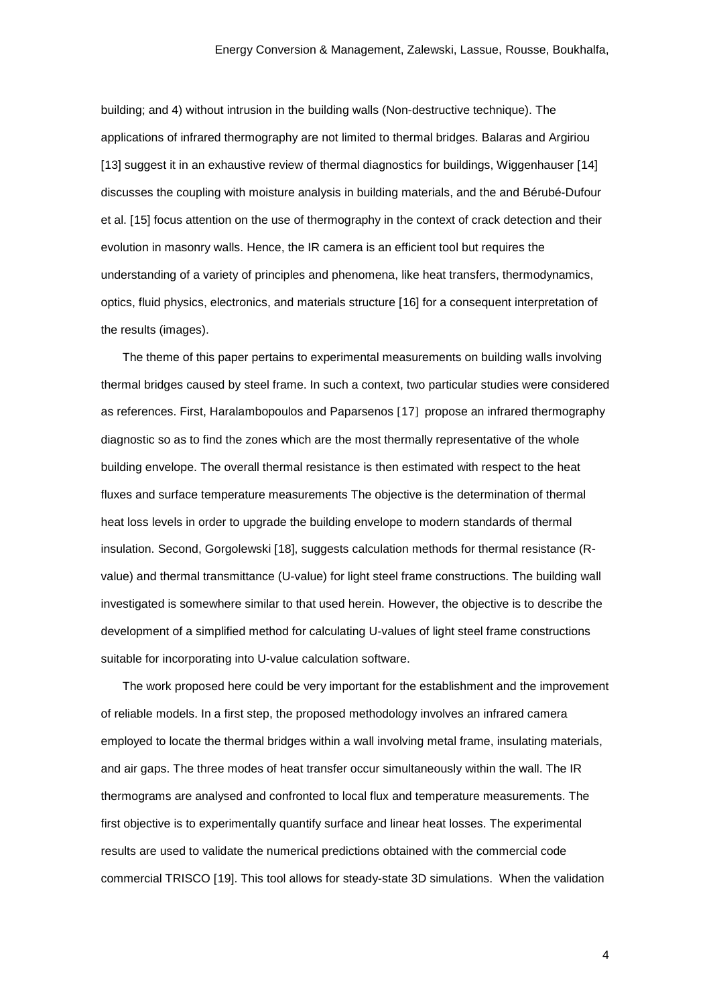building; and 4) without intrusion in the building walls (Non-destructive technique). The applications of infrared thermography are not limited to thermal bridges. Balaras and Argiriou [[13\]](#page-22-0) suggest it in an exhaustive review of thermal diagnostics for buildings, Wiggenhauser [[14\]](#page-22-1) discusses the coupling with moisture analysis in building materials, and the and Bérubé-Dufour et al. [[15](#page-22-2)] focus attention on the use of thermography in the context of crack detection and their evolution in masonry walls. Hence, the IR camera is an efficient tool but requires the understanding of a variety of principles and phenomena, like heat transfers, thermodynamics, optics, fluid physics, electronics, and materials structure [[16](#page-22-3)] for a consequent interpretation of the results (images).

The theme of this paper pertains to experimental measurements on building walls involving thermal bridges caused by steel frame. In such a context, two particular studies were considered as references. First, Haralambopoulos and Paparsenos [[17](#page-22-4)] propose an infrared thermography diagnostic so as to find the zones which are the most thermally representative of the whole building envelope. The overall thermal resistance is then estimated with respect to the heat fluxes and surface temperature measurements The objective is the determination of thermal heat loss levels in order to upgrade the building envelope to modern standards of thermal insulation. Second, Gorgolewski [[18](#page-22-5)], suggests calculation methods for thermal resistance (Rvalue) and thermal transmittance (U-value) for light steel frame constructions. The building wall investigated is somewhere similar to that used herein. However, the objective is to describe the development of a simplified method for calculating U-values of light steel frame constructions suitable for incorporating into U-value calculation software.

The work proposed here could be very important for the establishment and the improvement of reliable models. In a first step, the proposed methodology involves an infrared camera employed to locate the thermal bridges within a wall involving metal frame, insulating materials, and air gaps. The three modes of heat transfer occur simultaneously within the wall. The IR thermograms are analysed and confronted to local flux and temperature measurements. The first objective is to experimentally quantify surface and linear heat losses. The experimental results are used to validate the numerical predictions obtained with the commercial code commercial TRISCO [[19](#page-22-6)]. This tool allows for steady-state 3D simulations. When the validation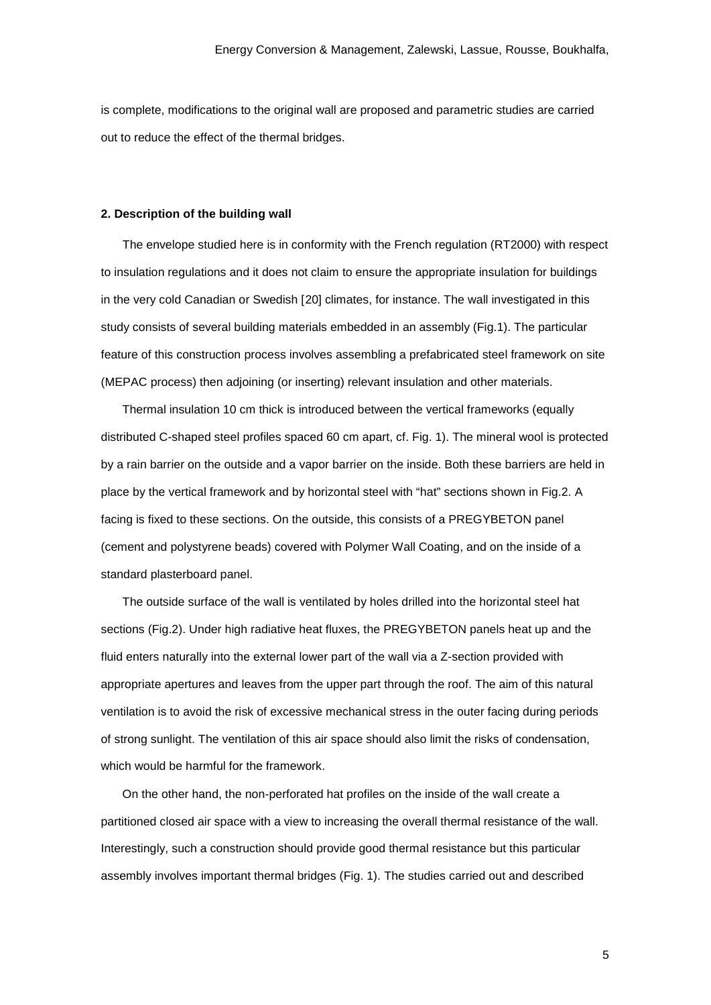is complete, modifications to the original wall are proposed and parametric studies are carried out to reduce the effect of the thermal bridges.

#### **2. Description of the building wall**

The envelope studied here is in conformity with the French regulation (RT2000) with respect to insulation regulations and it does not claim to ensure the appropriate insulation for buildings in the very cold Canadian or Swedish [[20\]](#page-22-7) climates, for instance. The wall investigated in this study consists of several building materials embedded in an assembly (Fig.1). The particular feature of this construction process involves assembling a prefabricated steel framework on site (MEPAC process) then adjoining (or inserting) relevant insulation and other materials.

Thermal insulation 10 cm thick is introduced between the vertical frameworks (equally distributed C-shaped steel profiles spaced 60 cm apart, cf. Fig. 1). The mineral wool is protected by a rain barrier on the outside and a vapor barrier on the inside. Both these barriers are held in place by the vertical framework and by horizontal steel with "hat" sections shown in Fig.2. A facing is fixed to these sections. On the outside, this consists of a PREGYBETON panel (cement and polystyrene beads) covered with Polymer Wall Coating, and on the inside of a standard plasterboard panel.

The outside surface of the wall is ventilated by holes drilled into the horizontal steel hat sections (Fig.2). Under high radiative heat fluxes, the PREGYBETON panels heat up and the fluid enters naturally into the external lower part of the wall via a Z-section provided with appropriate apertures and leaves from the upper part through the roof. The aim of this natural ventilation is to avoid the risk of excessive mechanical stress in the outer facing during periods of strong sunlight. The ventilation of this air space should also limit the risks of condensation, which would be harmful for the framework.

On the other hand, the non-perforated hat profiles on the inside of the wall create a partitioned closed air space with a view to increasing the overall thermal resistance of the wall. Interestingly, such a construction should provide good thermal resistance but this particular assembly involves important thermal bridges (Fig. 1). The studies carried out and described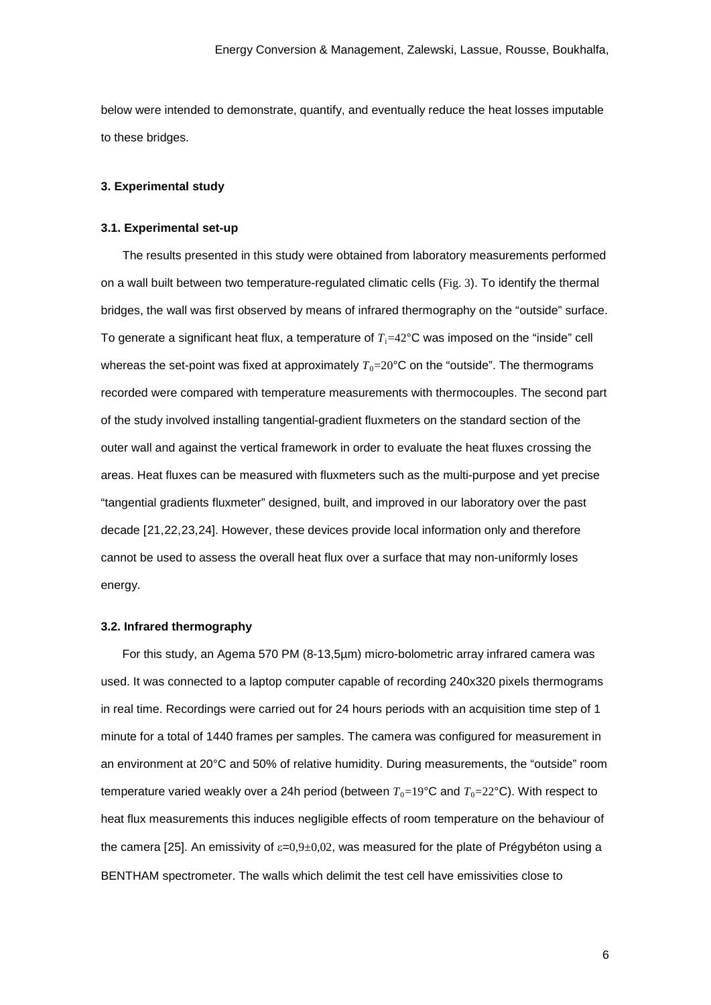below were intended to demonstrate, quantify, and eventually reduce the heat losses imputable to these bridges.

#### **3. Experimental study**

#### **3.1. Experimental set-up**

The results presented in this study were obtained from laboratory measurements performed on a wall built between two temperature-regulated climatic cells (Fig. 3). To identify the thermal bridges, the wall was first observed by means of infrared thermography on the "outside" surface. To generate a significant heat flux, a temperature of  $T_i=42^{\circ}$ C was imposed on the "inside" cell whereas the set-point was fixed at approximately  $T_0=20^\circ$ C on the "outside". The thermograms recorded were compared with temperature measurements with thermocouples. The second part of the study involved installing tangential-gradient fluxmeters on the standard section of the outer wall and against the vertical framework in order to evaluate the heat fluxes crossing the areas. Heat fluxes can be measured with fluxmeters such as the multi-purpose and yet precise "tangential gradients fluxmeter" designed, built, and improved in our laboratory over the past decade [[21,](#page-22-8)[22,](#page-22-9)[23](#page-22-10),[24](#page-22-11)]. However, these devices provide local information only and therefore cannot be used to assess the overall heat flux over a surface that may non-uniformly loses energy.

#### **3.2. Infrared thermography**

For this study, an Agema 570 PM (8-13,5µm) micro-bolometric array infrared camera was used. It was connected to a laptop computer capable of recording 240x320 pixels thermograms in real time. Recordings were carried out for 24 hours periods with an acquisition time step of 1 minute for a total of 1440 frames per samples. The camera was configured for measurement in an environment at 20°C and 50% of relative humidity. During measurements, the "outside" room temperature varied weakly over a 24h period (between  $T_0=19^{\circ}$ C and  $T_0=22^{\circ}$ C). With respect to heat flux measurements this induces negligible effects of room temperature on the behaviour of the camera [[25\]](#page-22-12). An emissivity of  $\varepsilon=0.9\pm0.02$ , was measured for the plate of Prégybéton using a BENTHAM spectrometer. The walls which delimit the test cell have emissivities close to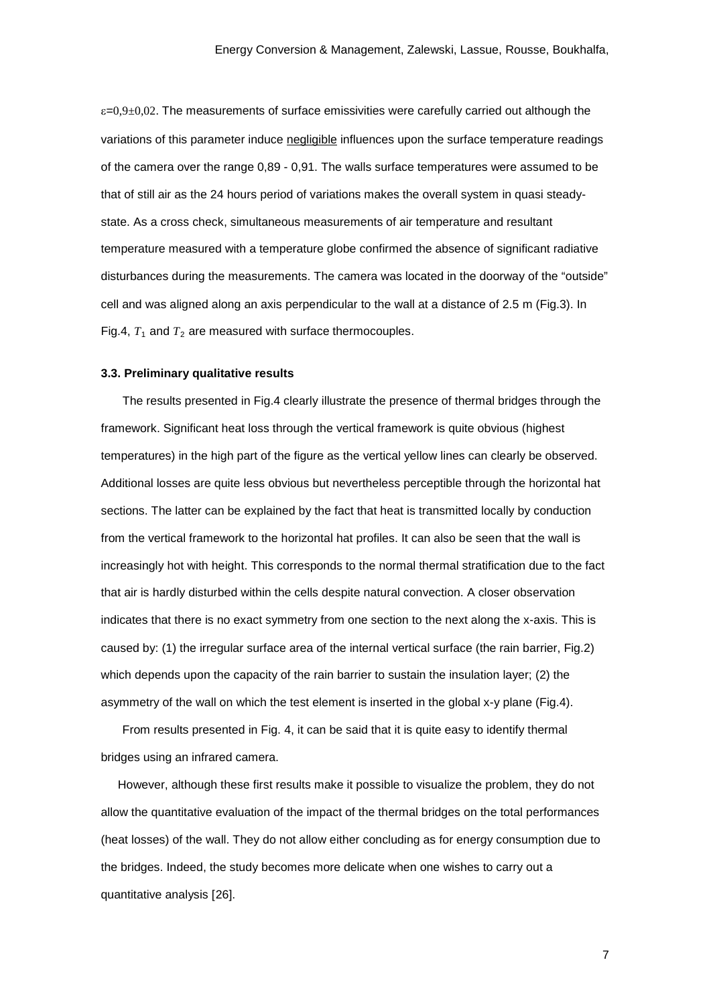$\varepsilon$ =0,9 $\pm$ 0,02. The measurements of surface emissivities were carefully carried out although the variations of this parameter induce negligible influences upon the surface temperature readings of the camera over the range 0,89 - 0,91. The walls surface temperatures were assumed to be that of still air as the 24 hours period of variations makes the overall system in quasi steadystate. As a cross check, simultaneous measurements of air temperature and resultant temperature measured with a temperature globe confirmed the absence of significant radiative disturbances during the measurements. The camera was located in the doorway of the "outside" cell and was aligned along an axis perpendicular to the wall at a distance of 2.5 m (Fig.3). In Fig.4,  $T_1$  and  $T_2$  are measured with surface thermocouples.

#### **3.3. Preliminary qualitative results**

The results presented in Fig.4 clearly illustrate the presence of thermal bridges through the framework. Significant heat loss through the vertical framework is quite obvious (highest temperatures) in the high part of the figure as the vertical yellow lines can clearly be observed. Additional losses are quite less obvious but nevertheless perceptible through the horizontal hat sections. The latter can be explained by the fact that heat is transmitted locally by conduction from the vertical framework to the horizontal hat profiles. It can also be seen that the wall is increasingly hot with height. This corresponds to the normal thermal stratification due to the fact that air is hardly disturbed within the cells despite natural convection. A closer observation indicates that there is no exact symmetry from one section to the next along the x-axis. This is caused by: (1) the irregular surface area of the internal vertical surface (the rain barrier, Fig.2) which depends upon the capacity of the rain barrier to sustain the insulation layer; (2) the asymmetry of the wall on which the test element is inserted in the global x-y plane (Fig.4).

From results presented in Fig. 4, it can be said that it is quite easy to identify thermal bridges using an infrared camera.

However, although these first results make it possible to visualize the problem, they do not allow the quantitative evaluation of the impact of the thermal bridges on the total performances (heat losses) of the wall. They do not allow either concluding as for energy consumption due to the bridges. Indeed, the study becomes more delicate when one wishes to carry out a quantitative analysis [[26\]](#page-22-13).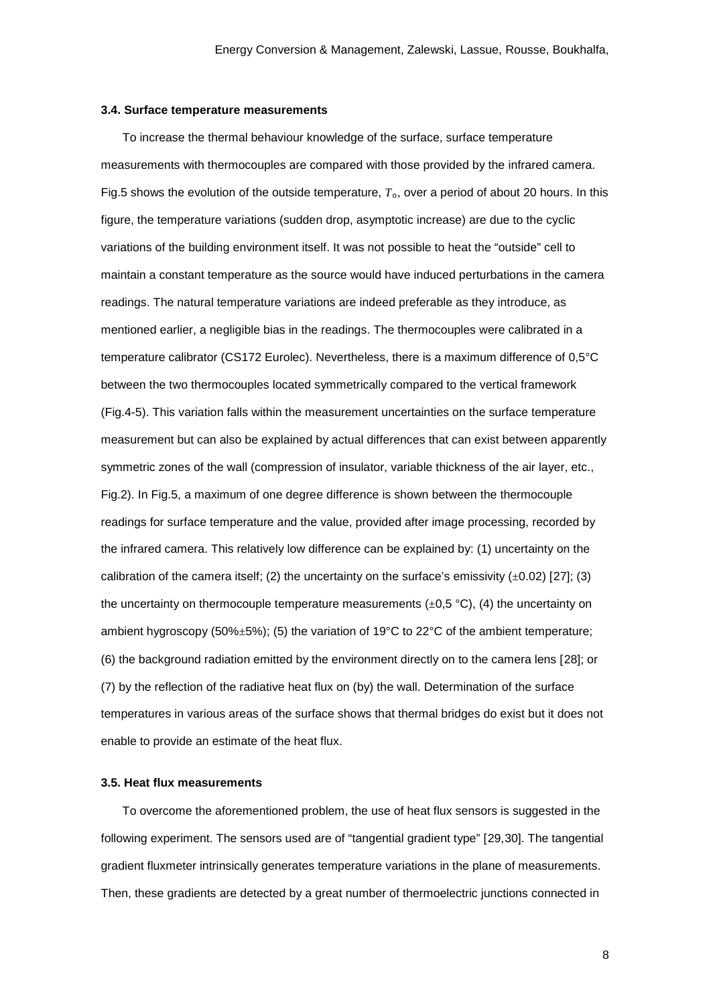#### **3.4. Surface temperature measurements**

To increase the thermal behaviour knowledge of the surface, surface temperature measurements with thermocouples are compared with those provided by the infrared camera. Fig.5 shows the evolution of the outside temperature,  $T<sub>o</sub>$ , over a period of about 20 hours. In this figure, the temperature variations (sudden drop, asymptotic increase) are due to the cyclic variations of the building environment itself. It was not possible to heat the "outside" cell to maintain a constant temperature as the source would have induced perturbations in the camera readings. The natural temperature variations are indeed preferable as they introduce, as mentioned earlier, a negligible bias in the readings. The thermocouples were calibrated in a temperature calibrator (CS172 Eurolec). Nevertheless, there is a maximum difference of 0,5°C between the two thermocouples located symmetrically compared to the vertical framework (Fig.4-5). This variation falls within the measurement uncertainties on the surface temperature measurement but can also be explained by actual differences that can exist between apparently symmetric zones of the wall (compression of insulator, variable thickness of the air layer, etc., Fig.2). In Fig.5, a maximum of one degree difference is shown between the thermocouple readings for surface temperature and the value, provided after image processing, recorded by the infrared camera. This relatively low difference can be explained by: (1) uncertainty on the calibration of the camera itself; (2) the uncertainty on the surface's emissivity  $(\pm 0.02)$  [[27\]](#page-22-14); (3) the uncertainty on thermocouple temperature measurements  $(\pm 0.5 \degree C)$ , (4) the uncertainty on ambient hygroscopy (50%±5%); (5) the variation of 19°C to 22°C of the ambient temperature; (6) the background radiation emitted by the environment directly on to the camera lens [[28\]](#page-22-15); or (7) by the reflection of the radiative heat flux on (by) the wall. Determination of the surface temperatures in various areas of the surface shows that thermal bridges do exist but it does not enable to provide an estimate of the heat flux.

#### **3.5. Heat flux measurements**

To overcome the aforementioned problem, the use of heat flux sensors is suggested in the following experiment. The sensors used are of "tangential gradient type" [[29,](#page-22-16)[30\]](#page-22-17). The tangential gradient fluxmeter intrinsically generates temperature variations in the plane of measurements. Then, these gradients are detected by a great number of thermoelectric junctions connected in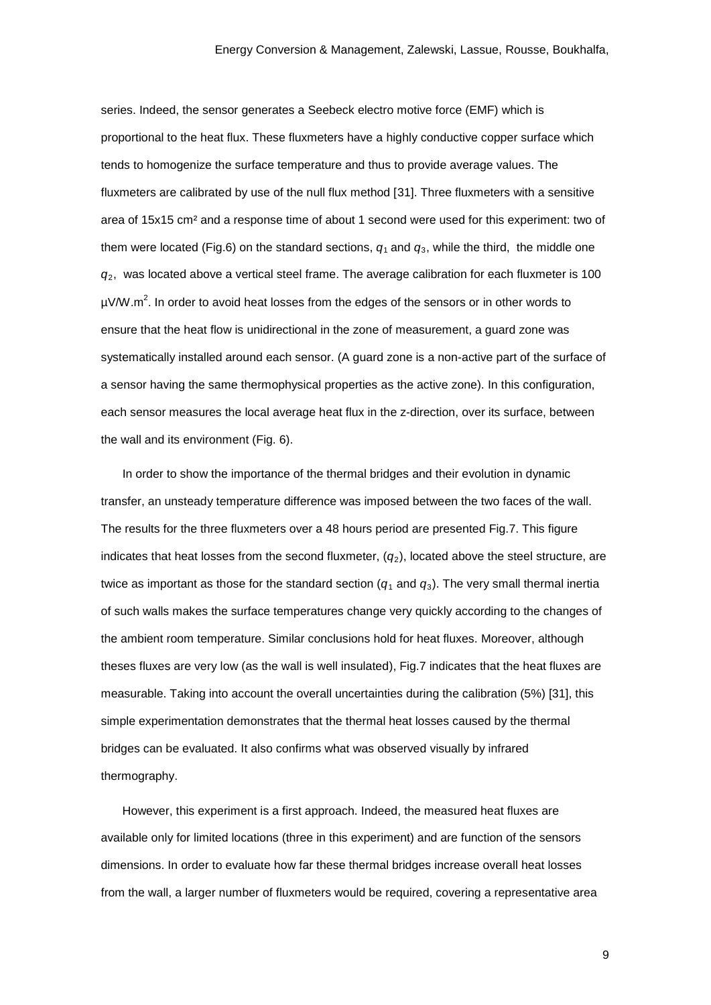series. Indeed, the sensor generates a Seebeck electro motive force (EMF) which is proportional to the heat flux. These fluxmeters have a highly conductive copper surface which tends to homogenize the surface temperature and thus to provide average values. The fluxmeters are calibrated by use of the null flux method [[31](#page-22-18)]. Three fluxmeters with a sensitive area of 15x15 cm² and a response time of about 1 second were used for this experiment: two of them were located (Fig.6) on the standard sections,  $q_1$  and  $q_3$ , while the third, the middle one *q*2, was located above a vertical steel frame. The average calibration for each fluxmeter is 100  $\mu$ V/W.m<sup>2</sup>. In order to avoid heat losses from the edges of the sensors or in other words to ensure that the heat flow is unidirectional in the zone of measurement, a guard zone was systematically installed around each sensor. (A guard zone is a non-active part of the surface of a sensor having the same thermophysical properties as the active zone). In this configuration, each sensor measures the local average heat flux in the z-direction, over its surface, between the wall and its environment (Fig. 6).

In order to show the importance of the thermal bridges and their evolution in dynamic transfer, an unsteady temperature difference was imposed between the two faces of the wall. The results for the three fluxmeters over a 48 hours period are presented Fig.7. This figure indicates that heat losses from the second fluxmeter,  $(q_2)$ , located above the steel structure, are twice as important as those for the standard section  $(q_1 \text{ and } q_3)$ . The very small thermal inertia of such walls makes the surface temperatures change very quickly according to the changes of the ambient room temperature. Similar conclusions hold for heat fluxes. Moreover, although theses fluxes are very low (as the wall is well insulated), Fig.7 indicates that the heat fluxes are measurable. Taking into account the overall uncertainties during the calibration (5%) [31], this simple experimentation demonstrates that the thermal heat losses caused by the thermal bridges can be evaluated. It also confirms what was observed visually by infrared thermography.

However, this experiment is a first approach. Indeed, the measured heat fluxes are available only for limited locations (three in this experiment) and are function of the sensors dimensions. In order to evaluate how far these thermal bridges increase overall heat losses from the wall, a larger number of fluxmeters would be required, covering a representative area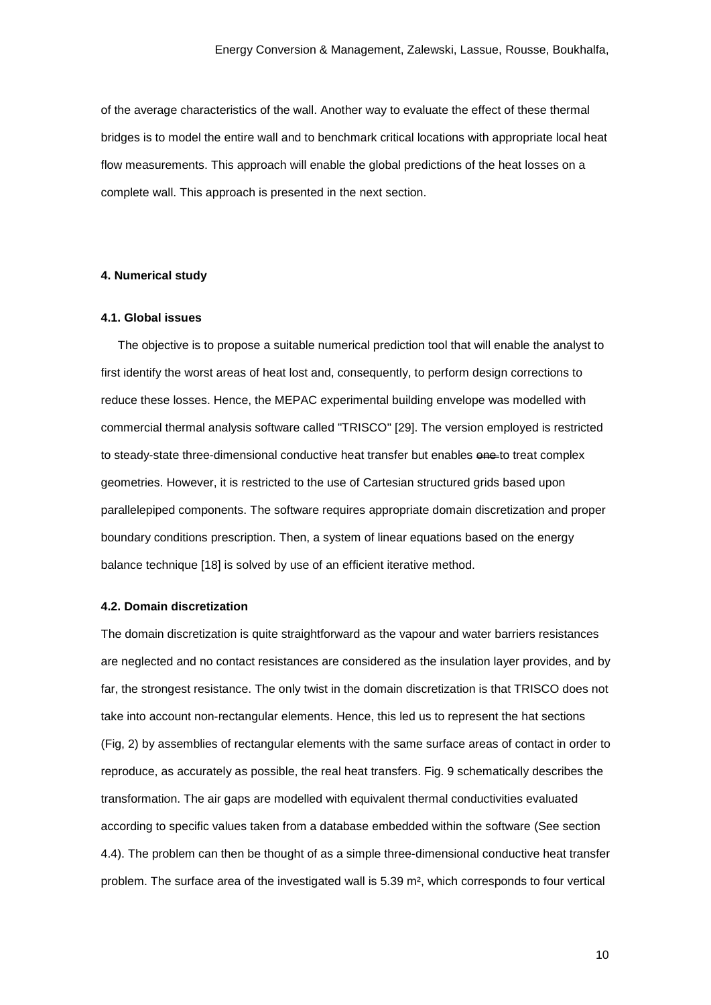of the average characteristics of the wall. Another way to evaluate the effect of these thermal bridges is to model the entire wall and to benchmark critical locations with appropriate local heat flow measurements. This approach will enable the global predictions of the heat losses on a complete wall. This approach is presented in the next section.

### **4. Numerical study**

#### **4.1. Global issues**

The objective is to propose a suitable numerical prediction tool that will enable the analyst to first identify the worst areas of heat lost and, consequently, to perform design corrections to reduce these losses. Hence, the MEPAC experimental building envelope was modelled with commercial thermal analysis software called "TRISCO" [29]. The version employed is restricted to steady-state three-dimensional conductive heat transfer but enables one-to treat complex geometries. However, it is restricted to the use of Cartesian structured grids based upon parallelepiped components. The software requires appropriate domain discretization and proper boundary conditions prescription. Then, a system of linear equations based on the energy balance technique [18] is solved by use of an efficient iterative method.

#### **4.2. Domain discretization**

The domain discretization is quite straightforward as the vapour and water barriers resistances are neglected and no contact resistances are considered as the insulation layer provides, and by far, the strongest resistance. The only twist in the domain discretization is that TRISCO does not take into account non-rectangular elements. Hence, this led us to represent the hat sections (Fig, 2) by assemblies of rectangular elements with the same surface areas of contact in order to reproduce, as accurately as possible, the real heat transfers. Fig. 9 schematically describes the transformation. The air gaps are modelled with equivalent thermal conductivities evaluated according to specific values taken from a database embedded within the software (See section 4.4). The problem can then be thought of as a simple three-dimensional conductive heat transfer problem. The surface area of the investigated wall is 5.39 m², which corresponds to four vertical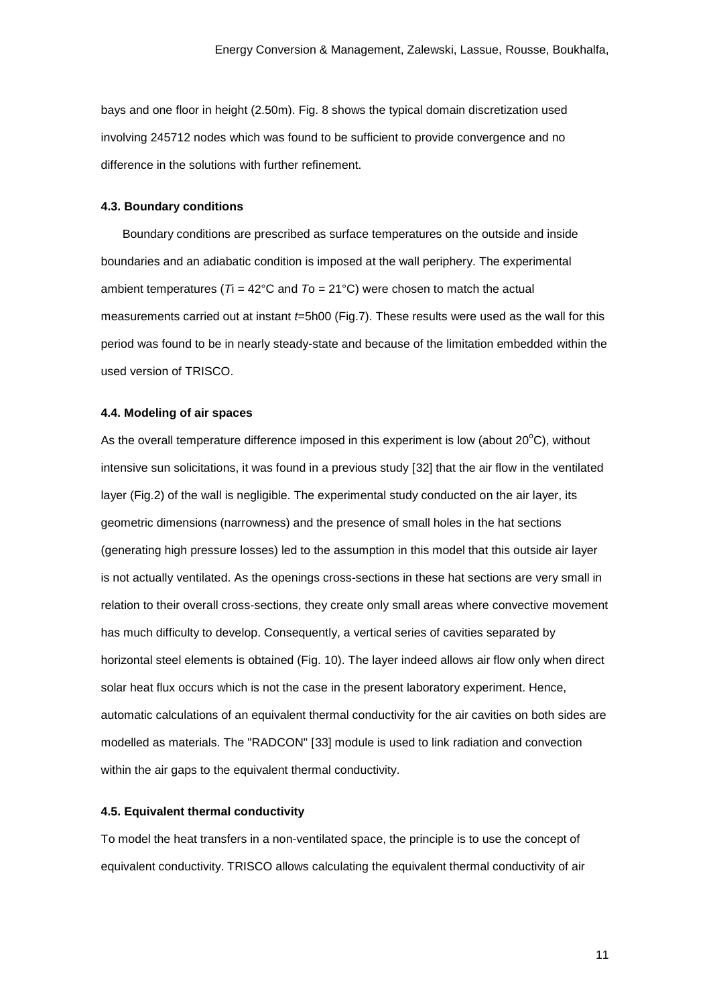bays and one floor in height (2.50m). Fig. 8 shows the typical domain discretization used involving 245712 nodes which was found to be sufficient to provide convergence and no difference in the solutions with further refinement.

#### **4.3. Boundary conditions**

Boundary conditions are prescribed as surface temperatures on the outside and inside boundaries and an adiabatic condition is imposed at the wall periphery. The experimental ambient temperatures ( $T = 42^{\circ}$ C and  $T = 21^{\circ}$ C) were chosen to match the actual measurements carried out at instant *t*=5h00 (Fig.7). These results were used as the wall for this period was found to be in nearly steady-state and because of the limitation embedded within the used version of TRISCO.

## **4.4. Modeling of air spaces**

As the overall temperature difference imposed in this experiment is low (about  $20^{\circ}$ C), without intensive sun solicitations, it was found in a previous study [[32\]](#page-22-19) that the air flow in the ventilated layer (Fig.2) of the wall is negligible. The experimental study conducted on the air layer, its geometric dimensions (narrowness) and the presence of small holes in the hat sections (generating high pressure losses) led to the assumption in this model that this outside air layer is not actually ventilated. As the openings cross-sections in these hat sections are very small in relation to their overall cross-sections, they create only small areas where convective movement has much difficulty to develop. Consequently, a vertical series of cavities separated by horizontal steel elements is obtained (Fig. 10). The layer indeed allows air flow only when direct solar heat flux occurs which is not the case in the present laboratory experiment. Hence, automatic calculations of an equivalent thermal conductivity for the air cavities on both sides are modelled as materials. The "RADCON" [[33](#page-22-20)] module is used to link radiation and convection within the air gaps to the equivalent thermal conductivity.

#### **4.5. Equivalent thermal conductivity**

To model the heat transfers in a non-ventilated space, the principle is to use the concept of equivalent conductivity. TRISCO allows calculating the equivalent thermal conductivity of air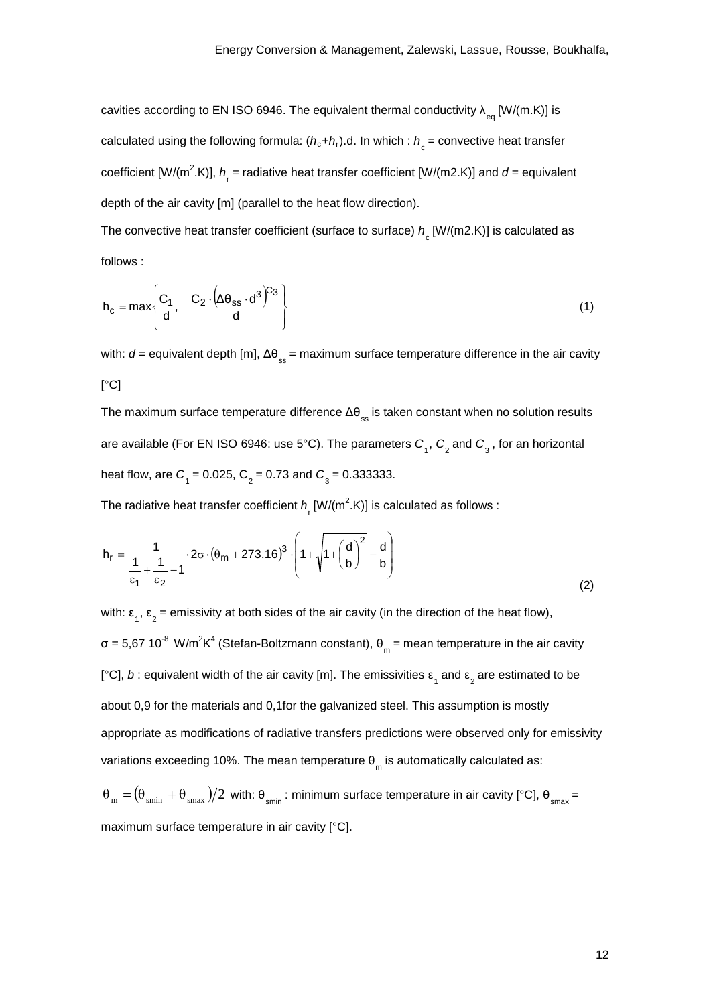cavities according to EN ISO 6946. The equivalent thermal conductivity  $\lambda_{_{\text{eq}}}$  [W/(m.K)] is calculated using the following formula:  $(h_c+h_r)$ .d. In which :  $h_c$  = convective heat transfer coefficient [W/(m<sup>2</sup>.K)],  $h_r$  = radiative heat transfer coefficient [W/(m2.K)] and  $d$  = equivalent depth of the air cavity [m] (parallel to the heat flow direction).

The convective heat transfer coefficient (surface to surface)  $h_{\alpha}$  [W/(m2.K)] is calculated as follows :

$$
h_{c} = max \left\{ \frac{C_{1}}{d}, \frac{C_{2} \cdot (\Delta \theta_{ss} \cdot d^{3})^{C_{3}}}{d} \right\}
$$
 (1)

with:  $d$  = equivalent depth [m],  $\Delta\theta_{ss}$  = maximum surface temperature difference in the air cavity  $[°C]$ 

The maximum surface temperature difference  $\Delta\theta_{ss}$  is taken constant when no solution results are available (For EN ISO 6946: use 5°C). The parameters  $C_{_1},\,C_{_2}$  and  $C_{_3}$  , for an horizontal heat flow, are  $C_1 = 0.025$ ,  $C_2 = 0.73$  and  $C_3 = 0.333333$ .

The radiative heat transfer coefficient  $h_{{}_{\mathsf{F}}}^{}[\mathsf{W/(m^2.K)}]$  is calculated as follows :

$$
h_r = \frac{1}{\frac{1}{\epsilon_1} + \frac{1}{\epsilon_2} - 1} \cdot 2\sigma \cdot (\theta_m + 273.16)^3 \cdot \left(1 + \sqrt{1 + \left(\frac{d}{b}\right)^2} - \frac{d}{b}\right)
$$
(2)

with: ε<sub>1</sub>, ε<sub>2</sub> = emissivity at both sides of the air cavity (in the direction of the heat flow), σ = 5,67 10 $^8$  W/m $^2$ K $^4$  (Stefan-Boltzmann constant),  $\theta_{_{\rm m}}$  = mean temperature in the air cavity [°C], *b* : equivalent width of the air cavity [m]. The emissivities  $\epsilon_1$  and  $\epsilon_2$  are estimated to be about 0,9 for the materials and 0,1for the galvanized steel. This assumption is mostly appropriate as modifications of radiative transfers predictions were observed only for emissivity variations exceeding 10%. The mean temperature  $\theta_m$  is automatically calculated as:

 $\theta_m = (\theta_{smin} + \theta_{smax})/2$  with:  $\theta_{smin}$ : minimum surface temperature in air cavity [°C],  $\theta_{smax}$  = maximum surface temperature in air cavity [°C].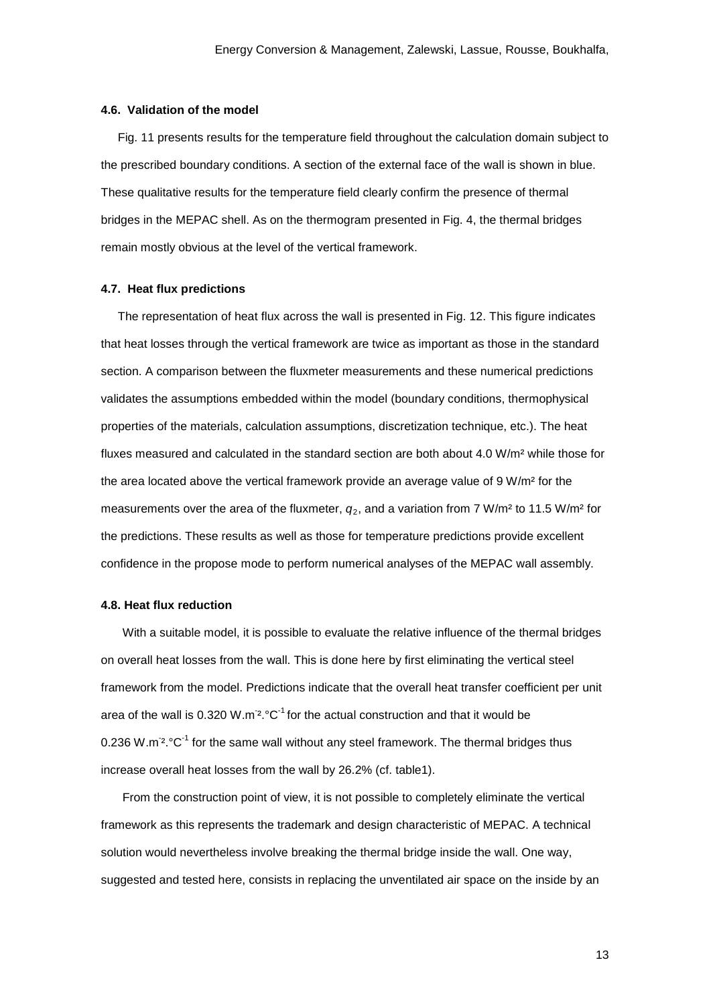#### **4.6. Validation of the model**

Fig. 11 presents results for the temperature field throughout the calculation domain subject to the prescribed boundary conditions. A section of the external face of the wall is shown in blue. These qualitative results for the temperature field clearly confirm the presence of thermal bridges in the MEPAC shell. As on the thermogram presented in Fig. 4, the thermal bridges remain mostly obvious at the level of the vertical framework.

#### **4.7. Heat flux predictions**

The representation of heat flux across the wall is presented in Fig. 12. This figure indicates that heat losses through the vertical framework are twice as important as those in the standard section. A comparison between the fluxmeter measurements and these numerical predictions validates the assumptions embedded within the model (boundary conditions, thermophysical properties of the materials, calculation assumptions, discretization technique, etc.). The heat fluxes measured and calculated in the standard section are both about 4.0 W/m<sup>2</sup> while those for the area located above the vertical framework provide an average value of 9 W/m² for the measurements over the area of the fluxmeter,  $q_2$ , and a variation from 7 W/m<sup>2</sup> to 11.5 W/m<sup>2</sup> for the predictions. These results as well as those for temperature predictions provide excellent confidence in the propose mode to perform numerical analyses of the MEPAC wall assembly.

#### **4.8. Heat flux reduction**

With a suitable model, it is possible to evaluate the relative influence of the thermal bridges on overall heat losses from the wall. This is done here by first eliminating the vertical steel framework from the model. Predictions indicate that the overall heat transfer coefficient per unit area of the wall is 0.320 W.m<sup>-2</sup>.°C<sup>-1</sup> for the actual construction and that it would be 0.236 W.m<sup>-2</sup>.°C<sup>-1</sup> for the same wall without any steel framework. The thermal bridges thus increase overall heat losses from the wall by 26.2% (cf. table1).

From the construction point of view, it is not possible to completely eliminate the vertical framework as this represents the trademark and design characteristic of MEPAC. A technical solution would nevertheless involve breaking the thermal bridge inside the wall. One way, suggested and tested here, consists in replacing the unventilated air space on the inside by an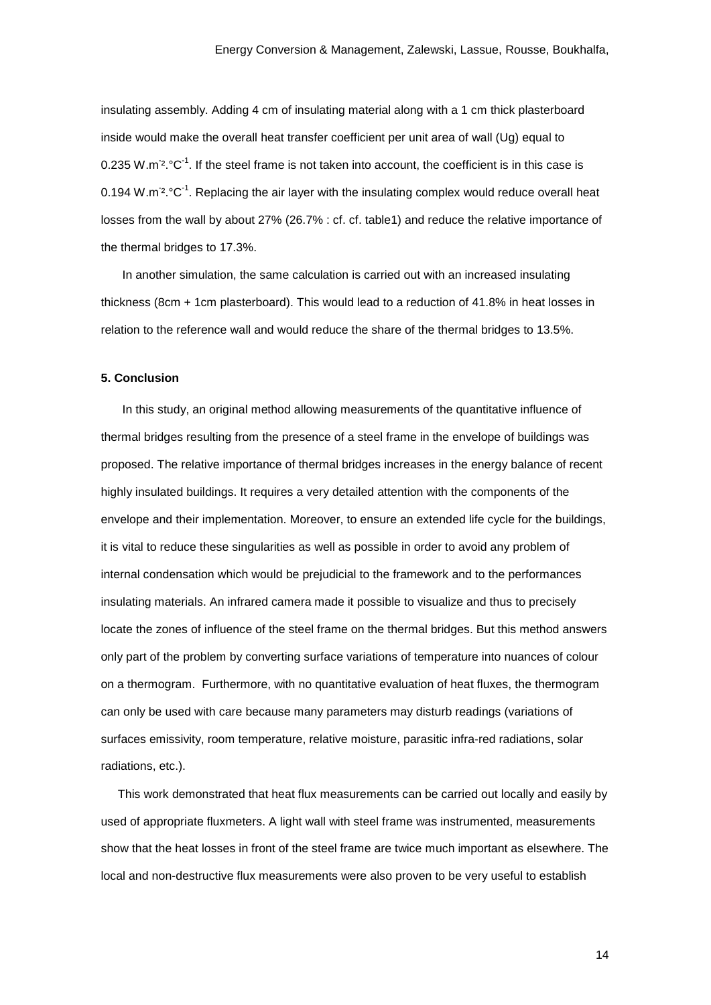insulating assembly. Adding 4 cm of insulating material along with a 1 cm thick plasterboard inside would make the overall heat transfer coefficient per unit area of wall (Ug) equal to 0.235 W.m<sup>-2</sup>.°C<sup>-1</sup>. If the steel frame is not taken into account, the coefficient is in this case is 0.194 W.m<sup>-2</sup>.°C<sup>-1</sup>. Replacing the air layer with the insulating complex would reduce overall heat losses from the wall by about 27% (26.7% : cf. cf. table1) and reduce the relative importance of the thermal bridges to 17.3%.

In another simulation, the same calculation is carried out with an increased insulating thickness (8cm + 1cm plasterboard). This would lead to a reduction of 41.8% in heat losses in relation to the reference wall and would reduce the share of the thermal bridges to 13.5%.

#### **5. Conclusion**

In this study, an original method allowing measurements of the quantitative influence of thermal bridges resulting from the presence of a steel frame in the envelope of buildings was proposed. The relative importance of thermal bridges increases in the energy balance of recent highly insulated buildings. It requires a very detailed attention with the components of the envelope and their implementation. Moreover, to ensure an extended life cycle for the buildings, it is vital to reduce these singularities as well as possible in order to avoid any problem of internal condensation which would be prejudicial to the framework and to the performances insulating materials. An infrared camera made it possible to visualize and thus to precisely locate the zones of influence of the steel frame on the thermal bridges. But this method answers only part of the problem by converting surface variations of temperature into nuances of colour on a thermogram. Furthermore, with no quantitative evaluation of heat fluxes, the thermogram can only be used with care because many parameters may disturb readings (variations of surfaces emissivity, room temperature, relative moisture, parasitic infra-red radiations, solar radiations, etc.).

This work demonstrated that heat flux measurements can be carried out locally and easily by used of appropriate fluxmeters. A light wall with steel frame was instrumented, measurements show that the heat losses in front of the steel frame are twice much important as elsewhere. The local and non-destructive flux measurements were also proven to be very useful to establish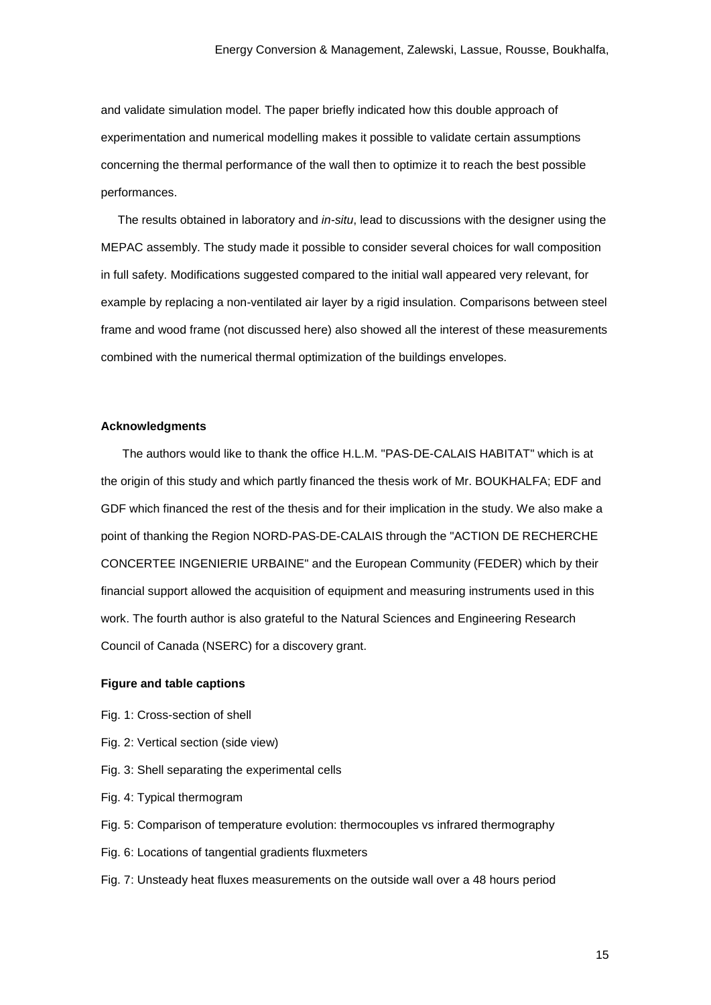and validate simulation model. The paper briefly indicated how this double approach of experimentation and numerical modelling makes it possible to validate certain assumptions concerning the thermal performance of the wall then to optimize it to reach the best possible performances.

The results obtained in laboratory and *in-situ*, lead to discussions with the designer using the MEPAC assembly. The study made it possible to consider several choices for wall composition in full safety. Modifications suggested compared to the initial wall appeared very relevant, for example by replacing a non-ventilated air layer by a rigid insulation. Comparisons between steel frame and wood frame (not discussed here) also showed all the interest of these measurements combined with the numerical thermal optimization of the buildings envelopes.

#### **Acknowledgments**

The authors would like to thank the office H.L.M. "PAS-DE-CALAIS HABITAT" which is at the origin of this study and which partly financed the thesis work of Mr. BOUKHALFA; EDF and GDF which financed the rest of the thesis and for their implication in the study. We also make a point of thanking the Region NORD-PAS-DE-CALAIS through the "ACTION DE RECHERCHE CONCERTEE INGENIERIE URBAINE" and the European Community (FEDER) which by their financial support allowed the acquisition of equipment and measuring instruments used in this work. The fourth author is also grateful to the Natural Sciences and Engineering Research Council of Canada (NSERC) for a discovery grant.

#### **Figure and table captions**

- Fig. 1: Cross-section of shell
- Fig. 2: Vertical section (side view)
- Fig. 3: Shell separating the experimental cells
- Fig. 4: Typical thermogram
- Fig. 5: Comparison of temperature evolution: thermocouples vs infrared thermography
- Fig. 6: Locations of tangential gradients fluxmeters
- Fig. 7: Unsteady heat fluxes measurements on the outside wall over a 48 hours period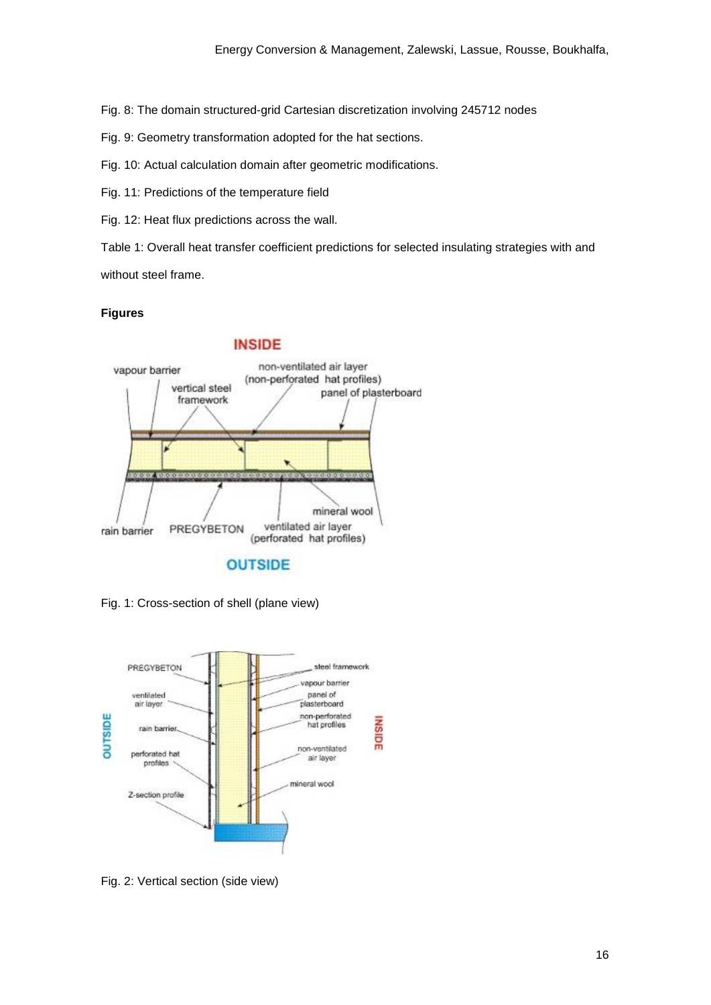Fig. 8: The domain structured-grid Cartesian discretization involving 245712 nodes

Fig. 9: Geometry transformation adopted for the hat sections.

Fig. 10: Actual calculation domain after geometric modifications.

Fig. 11: Predictions of the temperature field

Fig. 12: Heat flux predictions across the wall.

Table 1: Overall heat transfer coefficient predictions for selected insulating strategies with and without steel frame.

## **Figures**

## **INSIDE**



Fig. 1: Cross-section of shell (plane view)



Fig. 2: Vertical section (side view)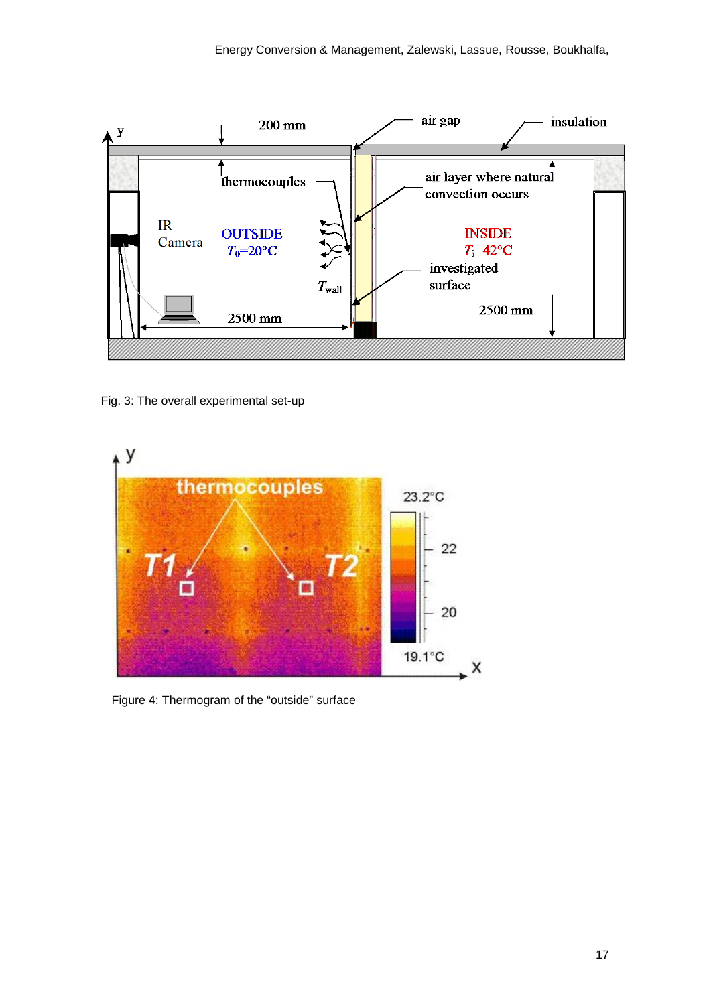

Fig. 3: The overall experimental set-up



Figure 4: Thermogram of the "outside" surface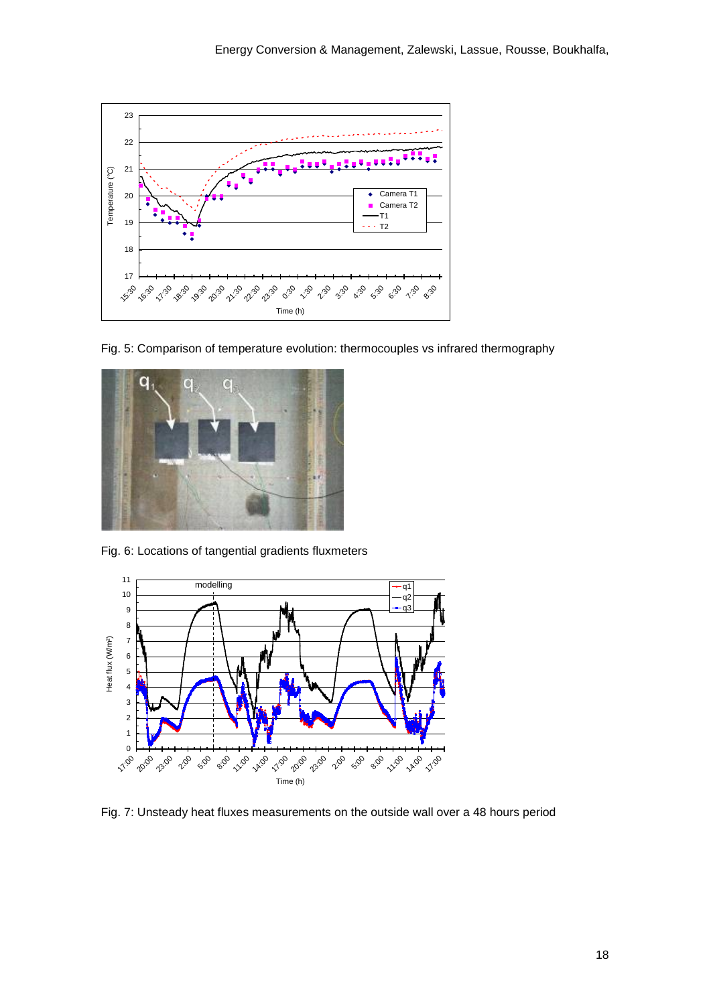

Fig. 5: Comparison of temperature evolution: thermocouples vs infrared thermography



Fig. 6: Locations of tangential gradients fluxmeters



Fig. 7: Unsteady heat fluxes measurements on the outside wall over a 48 hours period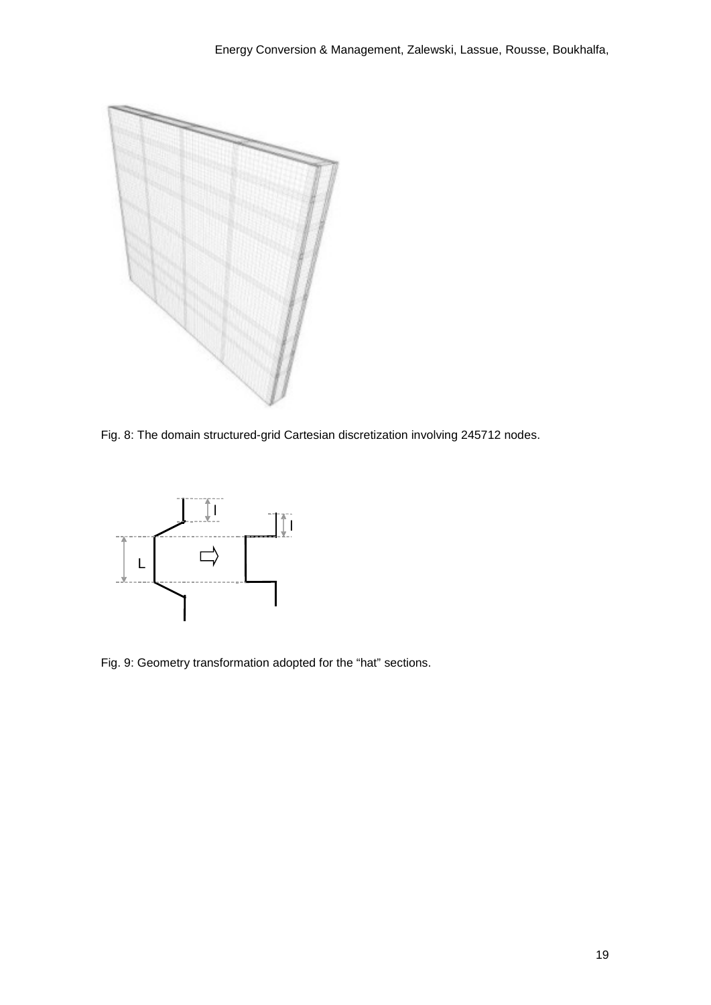

Fig. 8: The domain structured-grid Cartesian discretization involving 245712 nodes.



Fig. 9: Geometry transformation adopted for the "hat" sections.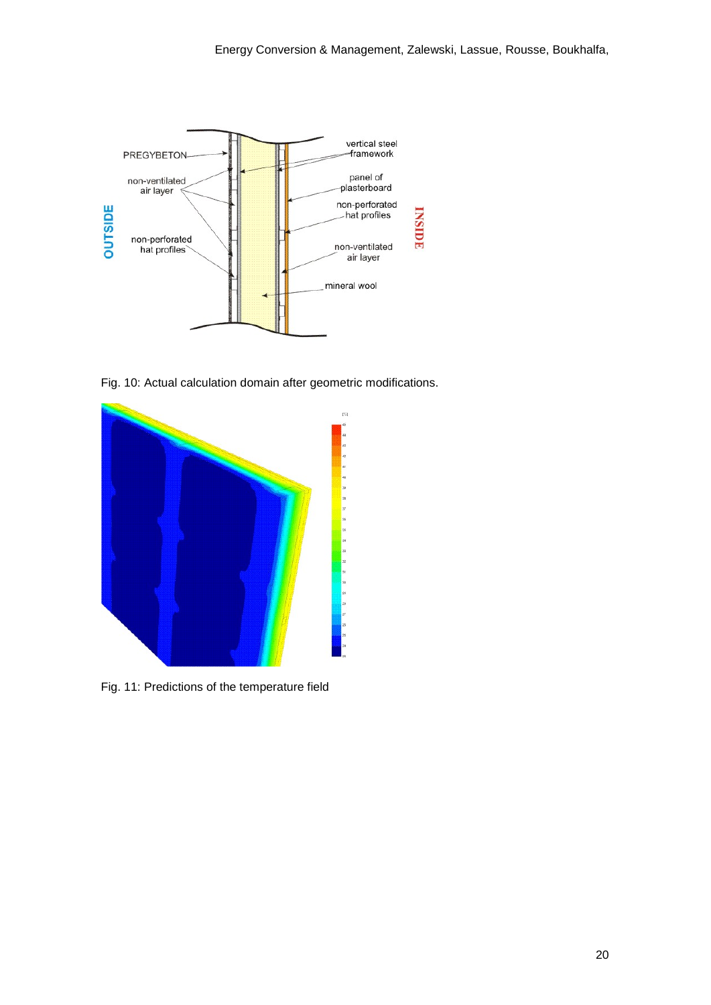

Fig. 10: Actual calculation domain after geometric modifications.



Fig. 11: Predictions of the temperature field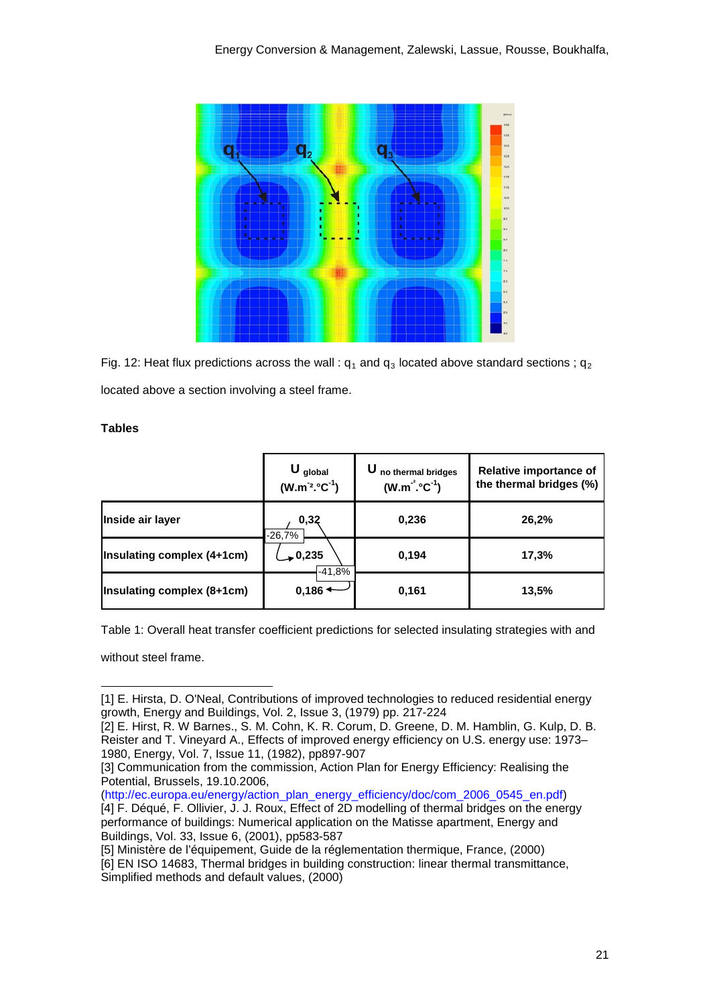

Fig. 12: Heat flux predictions across the wall :  $q_1$  and  $q_3$  located above standard sections ;  $q_2$ located above a section involving a steel frame.

## **Tables**

|                            | U global<br>(W.m <sup>-2</sup> .°C <sup>-1</sup> ) | U<br>no thermal bridges<br>$(W.m-2·°C-1)$ | Relative importance of<br>the thermal bridges (%) |
|----------------------------|----------------------------------------------------|-------------------------------------------|---------------------------------------------------|
| Inside air layer           | 0,32<br>$-26,7%$                                   | 0,236                                     | 26,2%                                             |
| Insulating complex (4+1cm) | $\bm{\mathsf{0}}$ ,235<br>$-41,8%$                 | 0,194                                     | 17,3%                                             |
| Insulating complex (8+1cm) | 0,186                                              | 0,161                                     | 13,5%                                             |

Table 1: Overall heat transfer coefficient predictions for selected insulating strategies with and

without steel frame.

j [1] E. Hirs[ta,](http://www.sciencedirect.com/science?_ob=ArticleURL&_udi=B6V2V-47XF6N4-1F&_user=7285879&_origUdi=B6V2S-498M0HV-8X&_fmt=high&_coverDate=08%2F31%2F1979&_rdoc=1&_orig=article&_acct=C000042678&_version=1&_urlVersion=0&_userid=7285879&md5=1247d11ce02c09b00b89a24427c3a673#implicit0) D. O'Neal, Contributions of improved technologies to reduced residential energy growth, [Energy and Buildings,](http://www.sciencedirect.com/science/journal/03787788) Vol. [2, Issue 3,](http://www.sciencedirect.com/science?_ob=PublicationURL&_tockey=%23TOC%235712%231979%23999979996%23388157%23FLP%23&_cdi=5712&_pubType=J&view=c&_auth=y&_acct=C000042678&_version=1&_urlVersion=0&_userid=7285879&md5=dcc2382f66b0778ec34dee38968ae370) (1979) pp. 217-224

<sup>[2]</sup> E. Hirst, R. W Barnes., S. M. Cohn, K. R. Corum, D. Greene, D. M. Hamblin, G. Kulp, D. B. Reister and T. Vineyard A., Effects of improved energy efficiency on U.S. energy use: 1973– 1980, Energy, Vol. 7, Issue 11, (1982), pp897-907

<sup>[3]</sup> Communication from the commission, Action Plan for Energy Efficiency: Realising the Potential, Brussels, 19.10.2006,

[<sup>\(</sup>http://ec.europa.eu/energy/action\\_plan\\_energy\\_efficiency/doc/com\\_2006\\_0545\\_en.pdf\)](http://ec.europa.eu/energy/action_plan_energy_efficiency/doc/com_2006_0545_en.pdf) [4] F. Déqué, F. Ollivier, J. J. Roux, Effect of 2D modelling of thermal bridges on the energy performance of buildings: Numerical application on the Matisse apartment, Energy and Buildings, Vol. 33, Issue 6, (2001), pp583-587

<sup>[5]</sup> Ministère de l'équipement, Guide de la réglementation thermique, France, (2000)

<sup>[6]</sup> EN ISO 14683, Thermal bridges in building construction: linear thermal transmittance, Simplified methods and default values, (2000)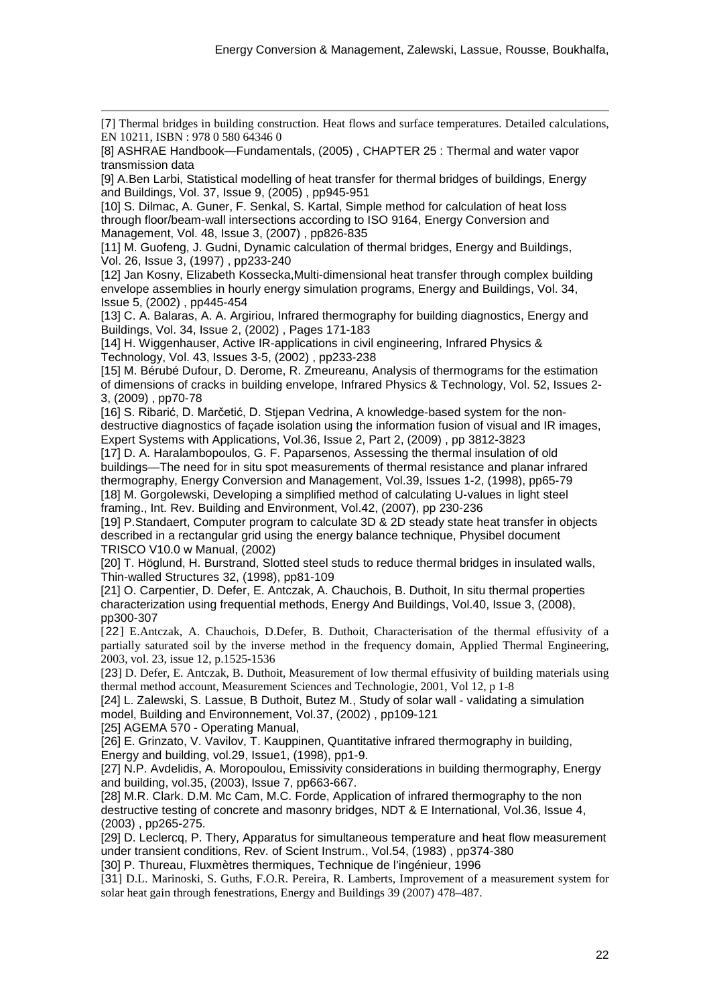<span id="page-21-6"></span>[7] Thermal bridges in building construction. Heat flows and surface temperatures. Detailed calculations, EN 10211, ISBN : 978 0 580 64346 0

<span id="page-21-7"></span>[8] ASHRAE Handbook-Fundamentals, (2005), CHAPTER 25 : Thermal and water vapor transmission data

<span id="page-21-8"></span>[9] A.Ben Larbi, Statistical modelling of heat transfer for thermal bridges of buildings, Energy and Buildings, Vol. 37, Issue 9, (2005) , pp945-951

<span id="page-21-9"></span>[10] S. Dilmac, A. Guner, F. Senkal, S. Kartal, Simple method for calculation of heat loss through floor/beam-wall intersections according to ISO 9164, Energy Conversion and Management, Vol. 48, Issue 3, (2007) , pp826-835

<span id="page-21-10"></span>[11] M. Guofeng, J. Gudni, Dynamic calculation of thermal bridges, Energy and Buildings, Vol. 26, Issue 3, (1997) , pp233-240

<span id="page-21-11"></span>[12] Jan Kosny, Elizabeth Kossecka,Multi-dimensional heat transfer through complex building envelope assemblies in hourly energy simulation programs, Energy and Buildings, Vol. 34, Issue 5, (2002) , pp445-454

[13] C. A. Balaras, A. A. Argiriou, Infrared thermography for building diagnostics, Energy and Buildings, Vol. 34, Issue 2, (2002) , Pages 171-183

[14] H. Wiggenhauser, Active IR-applications in civil engineering, Infrared Physics & Technology, Vol. 43, Issues 3-5, (2002) , pp233-238

[15] M. Bérubé Dufour, D. Derome, R. Zmeureanu, Analysis of thermograms for the estimation of dimensions of cracks in building envelope, Infrared Physics & Technology, Vol. 52, Issues 2- 3, (2009) , pp70-78

[16] S. Ribarić, D. Marčetić, D. Stjepan Vedrina, A knowledge-based system for the nondestructive diagnostics of façade isolation using the information fusion of visual and IR images, Expert Systems with Applications, Vol.36, Issue 2, Part 2, (2009) , pp 3812-3823

[17] D. A. Haralambopoulos, G. F. Paparsenos, Assessing the thermal insulation of old buildings—The need for in situ spot measurements of thermal resistance and planar infrared thermography, Energy Conversion and Management, Vol.39, Issues 1-2, (1998), pp65-79 [18] M. Gorgolewski, Developing a simplified method of calculating U-values in light steel framing., Int. Rev. Building and Environment, Vol.42, (2007), pp 230-236

[19] P.Standaert, Computer program to calculate 3D & 2D steady state heat transfer in objects described in a rectangular grid using the energy balance technique, Physibel document TRISCO V10.0 w Manual, (2002)

[20] T. Höglund, H. Burstrand, Slotted steel studs to reduce thermal bridges in insulated walls, Thin-walled Structures 32, (1998), pp81-109

[21] O. Carpentier, D. Defer, E. Antczak, A. Chauchois, B. Duthoit, In situ thermal properties characterization using frequential methods, Energy And Buildings, Vol.40, Issue 3, (2008), pp300-307

[22] E.Antczak, A. Chauchois, D.Defer, B. Duthoit, Characterisation of the thermal effusivity of a partially saturated soil by the inverse method in the frequency domain, Applied Thermal Engineering, 2003, vol. 23, issue 12, p.1525-1536

[23] D. Defer, E. Antczak, B. Duthoit, Measurement of low thermal effusivity of building materials using thermal method account, Measurement Sciences and Technologie, 2001, Vol 12, p 1-8

<span id="page-21-0"></span>[24] L. Zalewski, S. Lassue, B Duthoit, Butez M., Study of solar wall - validating a simulation model, Building and Environnement, Vol.37, (2002) , pp109-121

<span id="page-21-1"></span>[25] AGEMA 570 - Operating Manual,

-

[26] E. Grinzato, V. Vavilov, T. Kauppinen, Quantitative infrared thermography in building, Energy and building, vol.29, Issue1, (1998), pp1-9.

<span id="page-21-2"></span>[27] N.P. Avdelidis, A. Moropoulou, Emissivity considerations in building thermography, Energy and building, vol.35, (2003), Issue 7, pp663-667.

<span id="page-21-3"></span>[28] M.R. Clark. D.M. Mc Cam, M.C. Forde, Application of infrared thermography to the non destructive testing of concrete and masonry bridges, NDT & E International, Vol.36, Issue 4, (2003) , pp265-275.

<span id="page-21-4"></span>[29] D. Leclercq, P. Thery, Apparatus for simultaneous temperature and heat flow measurement under transient conditions, Rev. of Scient Instrum., Vol.54, (1983) , pp374-380

<span id="page-21-5"></span>[30] P. Thureau, Fluxmètres thermiques, Technique de l'ingénieur, 1996

[31] D.L. Marinoski, S. Guths, F.O.R. Pereira, R. Lamberts, Improvement of a measurement system for solar heat gain through fenestrations, Energy and Buildings 39 (2007) 478–487.